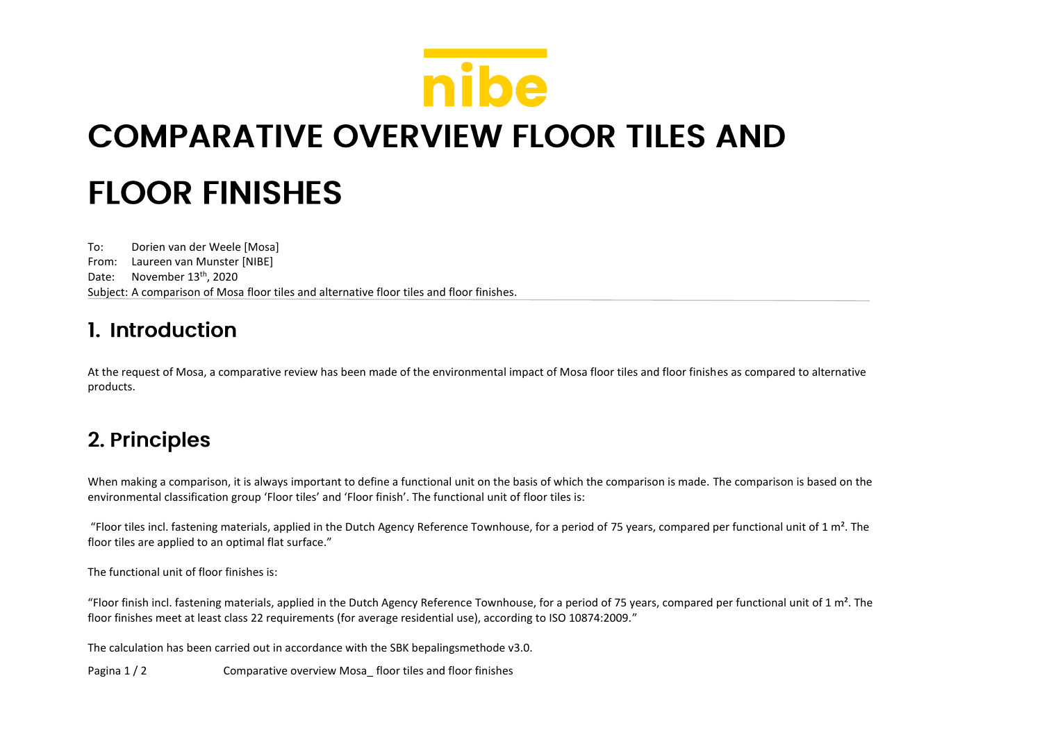## nibe **COMPARATIVE OVERVIEW FLOOR TILES AND FLOOR FINISHES**

To: Dorien van der Weele [Mosa] From: Laureen van Munster [NIBE] Date: November 13<sup>th</sup>, 2020 Subject: A comparison of Mosa floor tiles and alternative floor tiles and floor finishes.

## 1. Introduction

At the request of Mosa, a comparative review has been made of the environmental impact of Mosa floor tiles and floor finishes as compared to alternative products.

## 2. Principles

When making a comparison, it is always important to define a functional unit on the basis of which the comparison is made. The comparison is based on the environmental classification group 'Floor tiles' and 'Floor finish'. The functional unit of floor tiles is:

"Floor tiles incl. fastening materials, applied in the Dutch Agency Reference Townhouse, for a period of 75 years, compared per functional unit of 1 m<sup>2</sup>. The floor tiles are applied to an optimal flat surface."

The functional unit of floor finishes is:

"Floor finish incl. fastening materials, applied in the Dutch Agency Reference Townhouse, for a period of 75 years, compared per functional unit of 1 m<sup>2</sup>. The floor finishes meet at least class 22 requirements (for average residential use), according to ISO 10874:2009."

The calculation has been carried out in accordance with the SBK bepalingsmethode v3.0.

Pagina 1 / 2 Comparative overview Mosa floor tiles and floor finishes